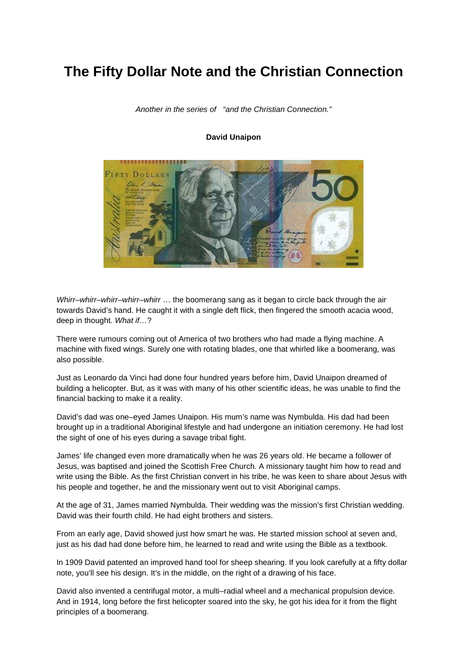## **The Fifty Dollar Note and the Christian Connection**

#### Another in the series of "and the Christian Connection."

#### **David Unaipon**



Whirr–whirr–whirr–whirr–whirr ... the boomerang sang as it began to circle back through the air towards David's hand. He caught it with a single deft flick, then fingered the smooth acacia wood, deep in thought. What if...?

There were rumours coming out of America of two brothers who had made a flying machine. A machine with fixed wings. Surely one with rotating blades, one that whirled like a boomerang, was also possible.

Just as Leonardo da Vinci had done four hundred years before him, David Unaipon dreamed of building a helicopter. But, as it was with many of his other scientific ideas, he was unable to find the financial backing to make it a reality.

David's dad was one–eyed James Unaipon. His mum's name was Nymbulda. His dad had been brought up in a traditional Aboriginal lifestyle and had undergone an initiation ceremony. He had lost the sight of one of his eyes during a savage tribal fight.

James' life changed even more dramatically when he was 26 years old. He became a follower of Jesus, was baptised and joined the Scottish Free Church. A missionary taught him how to read and write using the Bible. As the first Christian convert in his tribe, he was keen to share about Jesus with his people and together, he and the missionary went out to visit Aboriginal camps.

At the age of 31, James married Nymbulda. Their wedding was the mission's first Christian wedding. David was their fourth child. He had eight brothers and sisters.

From an early age, David showed just how smart he was. He started mission school at seven and, just as his dad had done before him, he learned to read and write using the Bible as a textbook.

In 1909 David patented an improved hand tool for sheep shearing. If you look carefully at a fifty dollar note, you'll see his design. It's in the middle, on the right of a drawing of his face.

David also invented a centrifugal motor, a multi–radial wheel and a mechanical propulsion device. And in 1914, long before the first helicopter soared into the sky, he got his idea for it from the flight principles of a boomerang.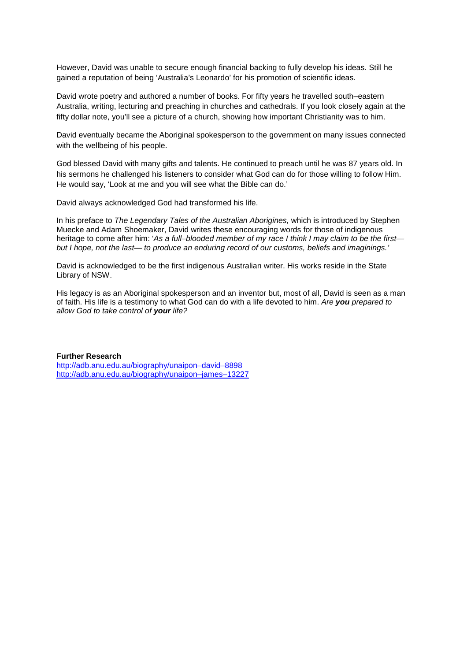However, David was unable to secure enough financial backing to fully develop his ideas. Still he gained a reputation of being 'Australia's Leonardo' for his promotion of scientific ideas.

David wrote poetry and authored a number of books. For fifty years he travelled south–eastern Australia, writing, lecturing and preaching in churches and cathedrals. If you look closely again at the fifty dollar note, you'll see a picture of a church, showing how important Christianity was to him.

David eventually became the Aboriginal spokesperson to the government on many issues connected with the wellbeing of his people.

God blessed David with many gifts and talents. He continued to preach until he was 87 years old. In his sermons he challenged his listeners to consider what God can do for those willing to follow Him. He would say, 'Look at me and you will see what the Bible can do.'

David always acknowledged God had transformed his life.

In his preface to *The Legendary Tales of the Australian Aborigines*, which is introduced by Stephen Muecke and Adam Shoemaker, David writes these encouraging words for those of indigenous heritage to come after him: 'As a full–blooded member of my race I think I may claim to be the firstbut I hope, not the last— to produce an enduring record of our customs, beliefs and imaginings.'

David is acknowledged to be the first indigenous Australian writer. His works reside in the State Library of NSW.

His legacy is as an Aboriginal spokesperson and an inventor but, most of all, David is seen as a man of faith. His life is a testimony to what God can do with a life devoted to him. Are **you** prepared to allow God to take control of **your** life?

#### **Further Research**

http://adb.anu.edu.au/biography/unaipon–david–8898 http://adb.anu.edu.au/biography/unaipon–james–13227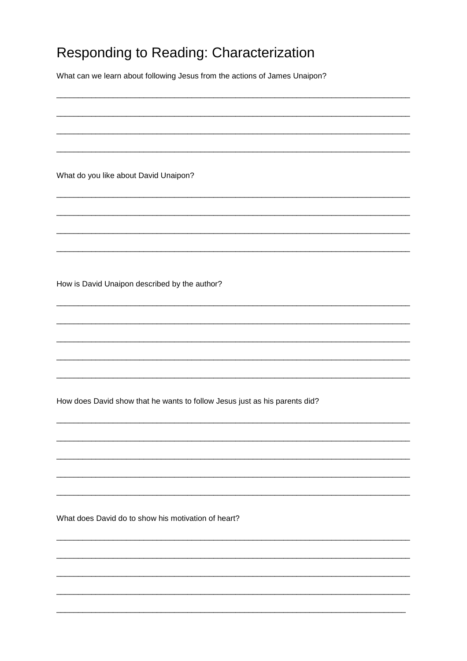# Responding to Reading: Characterization

What can we learn about following Jesus from the actions of James Unaipon?

What do you like about David Unaipon?

How is David Unaipon described by the author?

How does David show that he wants to follow Jesus just as his parents did?

What does David do to show his motivation of heart?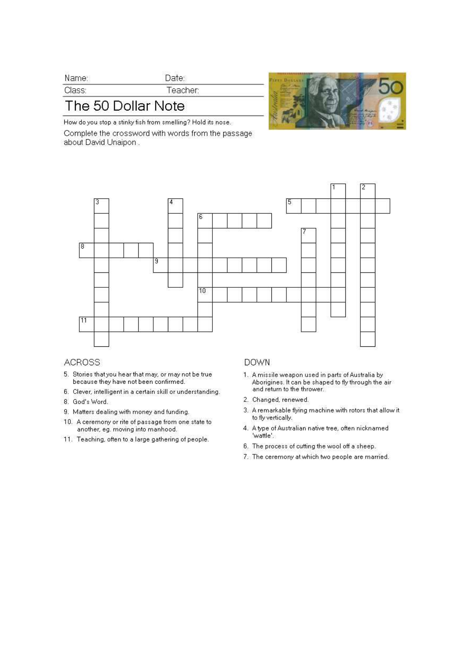| Name:  |  |
|--------|--|
| Class: |  |

## The 50 Dollar Note

How do you stop a stinky fish from smelling? Hold its nose. Complete the crossword with words from the passage about David Unaipon.

Date: Teacher:



### **ACROSS**

- 5. Stories that you hear that may, or may not be true because they have not been confirmed.
- 6. Clever, intelligent in a certain skill or understanding.
- 8. God's Word.
- 9. Matters dealing with money and funding.
- 10. A ceremony or rite of passage from one state to another, eg. moving into manhood.
- 11. Teaching, often to a large gathering of people.

### **DOWN**

- 1. A missile weapon used in parts of Australia by Aborigines. It can be shaped to fly through the air<br>and return to the thrower.
- 2. Changed, renewed.
- 3. A remarkable flying machine with rotors that allow it to fly vertically.
- 4. A type of Australian native tree, often nicknamed 'wattle'.
- 6. The process of cutting the wool off a sheep.
- 7. The ceremony at which two people are married.